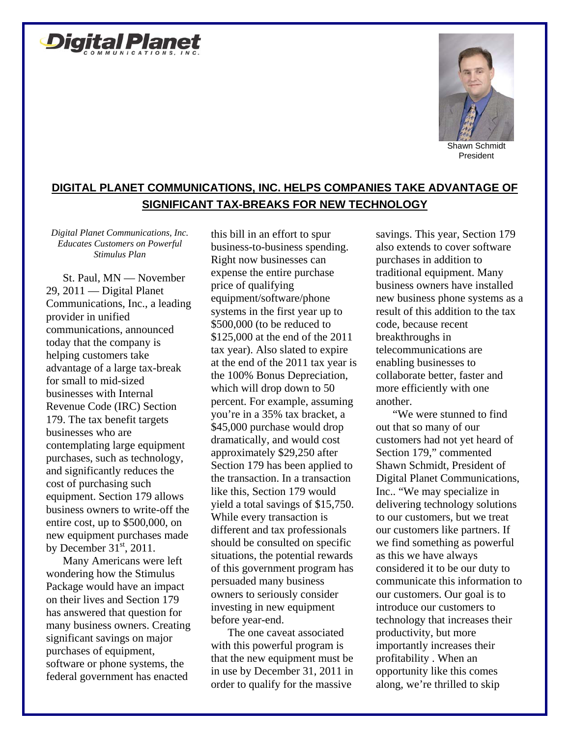



President

## **DIGITAL PLANET COMMUNICATIONS, INC. HELPS COMPANIES TAKE ADVANTAGE OF SIGNIFICANT TAX-BREAKS FOR NEW TECHNOLOGY**

*Digital Planet Communications, Inc. Educates Customers on Powerful Stimulus Plan* 

St. Paul, MN — November 29, 2011 — Digital Planet Communications, Inc., a leading provider in unified communications, announced today that the company is helping customers take advantage of a large tax-break for small to mid-sized businesses with Internal Revenue Code (IRC) Section 179. The tax benefit targets businesses who are contemplating large equipment purchases, such as technology, and significantly reduces the cost of purchasing such equipment. Section 179 allows business owners to write-off the entire cost, up to \$500,000, on new equipment purchases made by December  $31<sup>st</sup>$ , 2011.

Many Americans were left wondering how the Stimulus Package would have an impact on their lives and Section 179 has answered that question for many business owners. Creating significant savings on major purchases of equipment, software or phone systems, the federal government has enacted

this bill in an effort to spur business-to-business spending. Right now businesses can expense the entire purchase price of qualifying equipment/software/phone systems in the first year up to \$500,000 (to be reduced to \$125,000 at the end of the 2011 tax year). Also slated to expire at the end of the 2011 tax year is the 100% Bonus Depreciation, which will drop down to 50 percent. For example, assuming you're in a 35% tax bracket, a \$45,000 purchase would drop dramatically, and would cost approximately \$29,250 after Section 179 has been applied to the transaction. In a transaction like this, Section 179 would yield a total savings of \$15,750. While every transaction is different and tax professionals should be consulted on specific situations, the potential rewards of this government program has persuaded many business owners to seriously consider investing in new equipment before year-end.

The one caveat associated with this powerful program is that the new equipment must be in use by December 31, 2011 in order to qualify for the massive

savings. This year, Section 179 also extends to cover software purchases in addition to traditional equipment. Many business owners have installed new business phone systems as a result of this addition to the tax code, because recent breakthroughs in telecommunications are enabling businesses to collaborate better, faster and more efficiently with one another.

"We were stunned to find out that so many of our customers had not yet heard of Section 179," commented Shawn Schmidt, President of Digital Planet Communications, Inc.. "We may specialize in delivering technology solutions to our customers, but we treat our customers like partners. If we find something as powerful as this we have always considered it to be our duty to communicate this information to our customers. Our goal is to introduce our customers to technology that increases their productivity, but more importantly increases their profitability . When an opportunity like this comes along, we're thrilled to skip